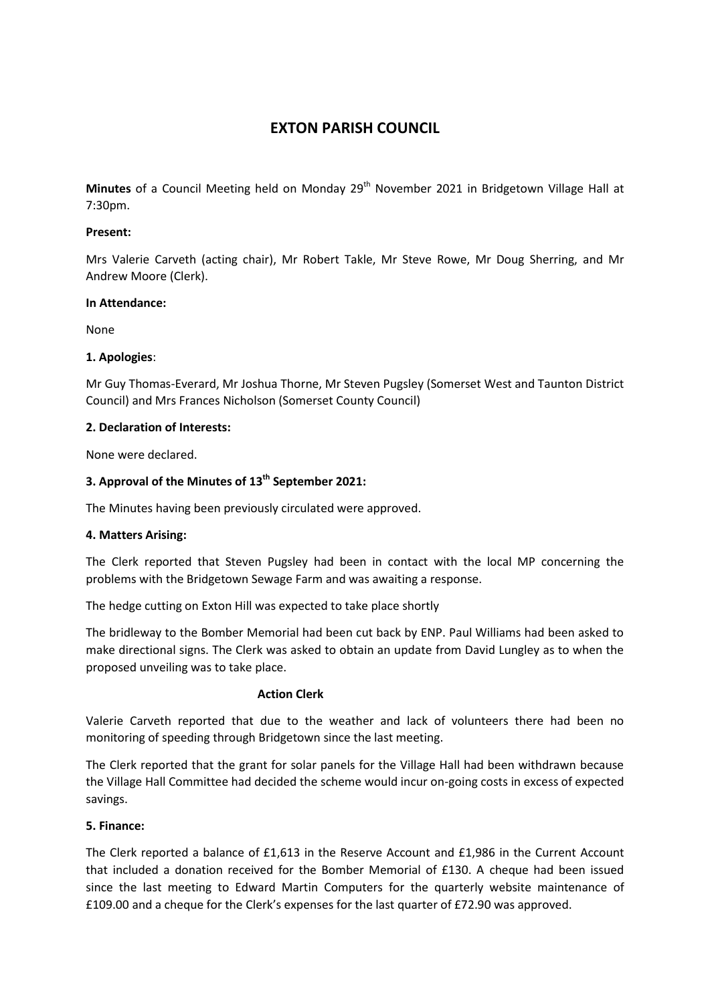# **EXTON PARISH COUNCIL**

Minutes of a Council Meeting held on Monday 29<sup>th</sup> November 2021 in Bridgetown Village Hall at 7:30pm.

# **Present:**

Mrs Valerie Carveth (acting chair), Mr Robert Takle, Mr Steve Rowe, Mr Doug Sherring, and Mr Andrew Moore (Clerk).

## **In Attendance:**

None

# **1. Apologies**:

Mr Guy Thomas-Everard, Mr Joshua Thorne, Mr Steven Pugsley (Somerset West and Taunton District Council) and Mrs Frances Nicholson (Somerset County Council)

# **2. Declaration of Interests:**

None were declared.

# **3. Approval of the Minutes of 13th September 2021:**

The Minutes having been previously circulated were approved.

## **4. Matters Arising:**

The Clerk reported that Steven Pugsley had been in contact with the local MP concerning the problems with the Bridgetown Sewage Farm and was awaiting a response.

The hedge cutting on Exton Hill was expected to take place shortly

The bridleway to the Bomber Memorial had been cut back by ENP. Paul Williams had been asked to make directional signs. The Clerk was asked to obtain an update from David Lungley as to when the proposed unveiling was to take place.

## **Action Clerk**

Valerie Carveth reported that due to the weather and lack of volunteers there had been no monitoring of speeding through Bridgetown since the last meeting.

The Clerk reported that the grant for solar panels for the Village Hall had been withdrawn because the Village Hall Committee had decided the scheme would incur on-going costs in excess of expected savings.

# **5. Finance:**

The Clerk reported a balance of £1,613 in the Reserve Account and £1,986 in the Current Account that included a donation received for the Bomber Memorial of £130. A cheque had been issued since the last meeting to Edward Martin Computers for the quarterly website maintenance of £109.00 and a cheque for the Clerk's expenses for the last quarter of £72.90 was approved.